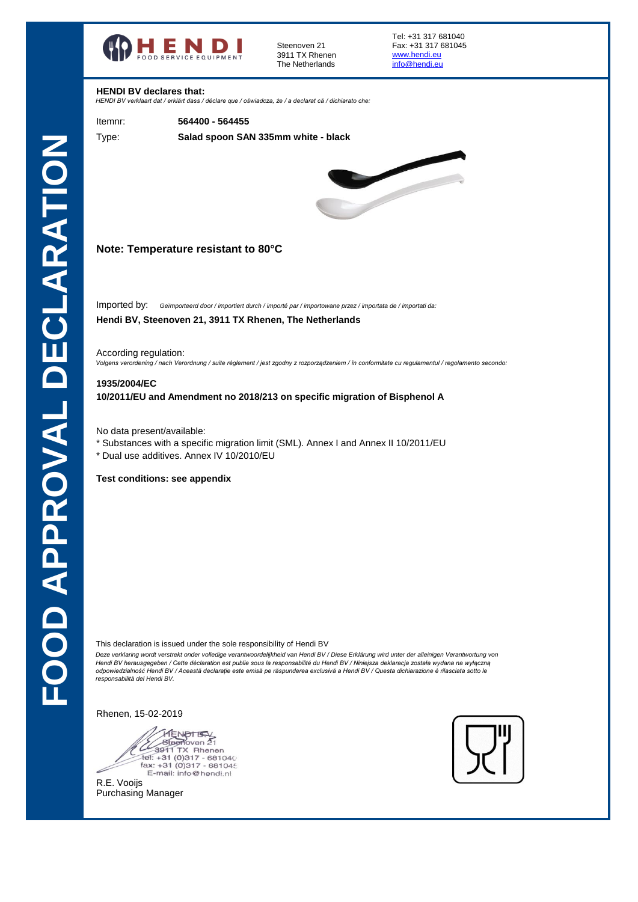

3911 TX Rhenen<br>The Netherlands **Example 10** and the Netherlands The Netherlands

Tel: +31 317 681040 Steenoven 21 Fax: +31 317 681045

## **HENDI BV declares that:**

*HENDI BV verklaart dat / erklärt dass / déclare que / oświadcza, że / a declarat că / dichiarato che:*

Itemnr: **564400 - 564455**

**Salad spoon SAN 335mm white - black**

Type:



# **Note: Temperature resistant to 80°C**

Imported by: *Geïmporteerd door / importiert durch / importé par / importowane przez / importata de / importati da:* 

# **Hendi BV, Steenoven 21, 3911 TX Rhenen, The Netherlands**

According regulation:

*Volgens verordening / nach Verordnung / suite règlement / jest zgodny z rozporządzeniem / în conformitate cu regulamentul / regolamento secondo:*

#### **1935/2004/EC**

**10/2011/EU and Amendment no 2018/213 on specific migration of Bisphenol A**

No data present/available:

- \* Substances with a specific migration limit (SML). Annex I and Annex II 10/2011/EU
- \* Dual use additives. Annex IV 10/2010/EU

### **Test conditions: see appendix**

This declaration is issued under the sole responsibility of Hendi BV

*Deze verklaring wordt verstrekt onder volledige verantwoordelijkheid van Hendi BV / Diese Erklärung wird unter der alleinigen Verantwortung von Hendi BV herausgegeben / Cette déclaration est publie sous la responsabilité du Hendi BV / Niniejsza deklaracja została wydana na wyłączną odpowiedzialność Hendi BV / Această declarație este emisă pe răspunderea exclusivă a Hendi BV / Questa dichiarazione è rilasciata sotto le responsabilità del Hendi BV.* 

Rhenen, 15-02-2019

HENPTEN Tel: +31 (0)317 - 681040<br>fax: +31 (0)317 - 681046<br>E-mail: info@hendi.nl



Purchasing Manager R.E. Vooijs